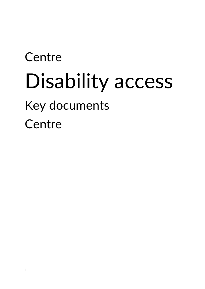# **Centre** Disability access Key documents **Centre**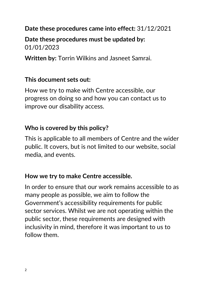## **Date these procedures came into effect:** 31/12/2021

**Date these procedures must be updated by:** 01/01/2023

**Written by:** Torrin Wilkins and Jasneet Samrai.

#### **This document sets out:**

How we try to make with Centre accessible, our progress on doing so and how you can contact us to improve our disability access.

## **Who is covered by this policy?**

This is applicable to all members of Centre and the wider public. It covers, but is not limited to our website, social media, and events.

#### **How we try to make Centre accessible.**

In order to ensure that our work remains accessible to as many people as possible, we aim to follow the Government's accessibility requirements for public sector services. Whilst we are not operating within the public sector, these requirements are designed with inclusivity in mind, therefore it was important to us to follow them.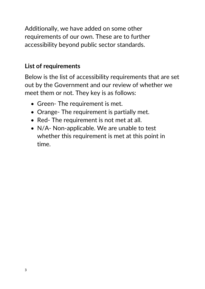Additionally, we have added on some other requirements of our own. These are to further accessibility beyond public sector standards.

# **List of requirements**

Below is the list of accessibility requirements that are set out by the Government and our review of whether we meet them or not. They key is as follows:

- Green- The requirement is met.
- Orange- The requirement is partially met.
- Red- The requirement is not met at all.
- N/A- Non-applicable. We are unable to test whether this requirement is met at this point in time.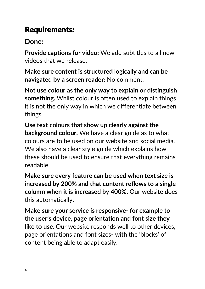# Requirements:

# **Done:**

**Provide captions for video:** We add subtitles to all new videos that we release.

**Make sure content is structured logically and can be navigated by a screen reader:** No comment.

**Not use colour as the only way to explain or distinguish something.** Whilst colour is often used to explain things, it is not the only way in which we differentiate between things.

**Use text colours that show up clearly against the background colour.** We have a clear guide as to what colours are to be used on our website and social media. We also have a clear style guide which explains how these should be used to ensure that everything remains readable.

**Make sure every feature can be used when text size is increased by 200% and that content reflows to a single column when it is increased by 400%.** Our website does this automatically.

**Make sure your service is responsive- for example to the user's device, page orientation and font size they like to use.** Our website responds well to other devices, page orientations and font sizes- with the 'blocks' of content being able to adapt easily.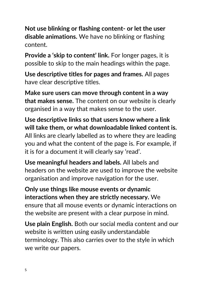**Not use blinking or flashing content- or let the user disable animations.** We have no blinking or flashing content.

**Provide a 'skip to content' link.** For longer pages, it is possible to skip to the main headings within the page.

**Use descriptive titles for pages and frames.** All pages have clear descriptive titles.

**Make sure users can move through content in a way that makes sense.** The content on our website is clearly organised in a way that makes sense to the user.

**Use descriptive links so that users know where a link will take them, or what downloadable linked content is.**  All links are clearly labelled as to where they are leading you and what the content of the page is. For example, if it is for a document it will clearly say 'read'.

**Use meaningful headers and labels.** All labels and headers on the website are used to improve the website organisation and improve navigation for the user.

**Only use things like mouse events or dynamic interactions when they are strictly necessary.** We ensure that all mouse events or dynamic interactions on the website are present with a clear purpose in mind.

**Use plain English.** Both our social media content and our website is written using easily understandable terminology. This also carries over to the style in which we write our papers.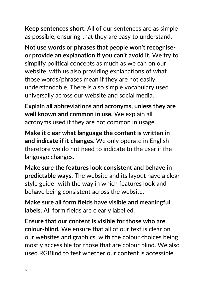**Keep sentences short.** All of our sentences are as simple as possible, ensuring that they are easy to understand.

**Not use words or phrases that people won't recogniseor provide an explanation if you can't avoid it.** We try to simplify political concepts as much as we can on our website, with us also providing explanations of what those words/phrases mean if they are not easily understandable. There is also simple vocabulary used universally across our website and social media.

**Explain all abbreviations and acronyms, unless they are well known and common in use.** We explain all acronyms used if they are not common in usage.

**Make it clear what language the content is written in and indicate if it changes.** We only operate in English therefore we do not need to indicate to the user if the language changes.

**Make sure the features look consistent and behave in predictable ways.** The website and its layout have a clear style guide- with the way in which features look and behave being consistent across the website.

**Make sure all form fields have visible and meaningful labels.** All form fields are clearly labelled.

**Ensure that our content is visible for those who are colour-blind.** We ensure that all of our text is clear on our websites and graphics, with the colour choices being mostly accessible for those that are colour blind. We also used RGBlind to test whether our content is accessible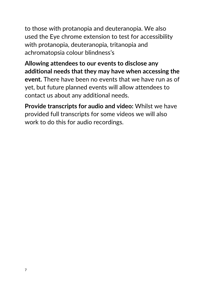to those with protanopia and deuteranopia. We also used the Eye chrome extension to test for accessibility with protanopia, deuteranopia, tritanopia and achromatopsia colour blindness's

**Allowing attendees to our events to disclose any additional needs that they may have when accessing the event.** There have been no events that we have run as of yet, but future planned events will allow attendees to contact us about any additional needs.

**Provide transcripts for audio and video:** Whilst we have provided full transcripts for some videos we will also work to do this for audio recordings.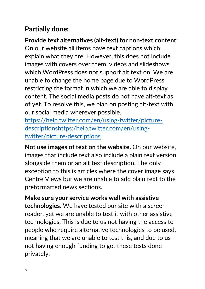# **Partially done:**

**Provide text alternatives (alt-text) for non-text content:** On our website all items have text captions which explain what they are. However, this does not include images with covers over them, videos and slideshows which WordPress does not support alt text on. We are unable to change the home page due to WordPress restricting the format in which we are able to display content. The social media posts do not have alt-text as of yet. To resolve this, we plan on posting alt-text with our social media wherever possible.

[https://help.twitter.com/en/using-twitter/picture](https://help.twitter.com/en/using-twitter/picture-descriptionshttps:/help.twitter.com/en/using-twitter/picture-descriptions)[descriptionshttps:/help.twitter.com/en/using](https://help.twitter.com/en/using-twitter/picture-descriptionshttps:/help.twitter.com/en/using-twitter/picture-descriptions)[twitter/picture-descriptions](https://help.twitter.com/en/using-twitter/picture-descriptionshttps:/help.twitter.com/en/using-twitter/picture-descriptions)

**Not use images of text on the website.** On our website, images that include text also include a plain text version alongside them or an alt text description. The only exception to this is articles where the cover image says Centre Views but we are unable to add plain text to the preformatted news sections.

**Make sure your service works well with assistive technologies.** We have tested our site with a screen reader, yet we are unable to test it with other assistive technologies. This is due to us not having the access to people who require alternative technologies to be used, meaning that we are unable to test this, and due to us not having enough funding to get these tests done privately.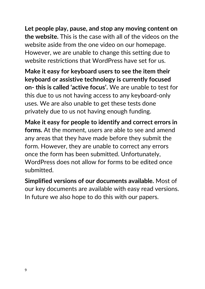**Let people play, pause, and stop any moving content on the website.** This is the case with all of the videos on the website aside from the one video on our homepage. However, we are unable to change this setting due to website restrictions that WordPress have set for us.

**Make it easy for keyboard users to see the item their keyboard or assistive technology is currently focused on- this is called 'active focus'.** We are unable to test for this due to us not having access to any keyboard-only uses. We are also unable to get these tests done privately due to us not having enough funding.

**Make it easy for people to identify and correct errors in forms.** At the moment, users are able to see and amend any areas that they have made before they submit the form. However, they are unable to correct any errors once the form has been submitted. Unfortunately, WordPress does not allow for forms to be edited once submitted.

**Simplified versions of our documents available.** Most of our key documents are available with easy read versions. In future we also hope to do this with our papers.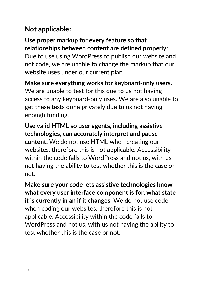# **Not applicable:**

**Use proper markup for every feature so that relationships between content are defined properly:**  Due to use using WordPress to publish our website and not code, we are unable to change the markup that our website uses under our current plan.

**Make sure everything works for keyboard-only users.**  We are unable to test for this due to us not having access to any keyboard-only uses. We are also unable to get these tests done privately due to us not having enough funding.

**Use valid HTML so user agents, including assistive technologies, can accurately interpret and pause content.** We do not use HTML when creating our websites, therefore this is not applicable. Accessibility within the code falls to WordPress and not us, with us not having the ability to test whether this is the case or not.

**Make sure your code lets assistive technologies know what every user interface component is for, what state it is currently in an if it changes.** We do not use code when coding our websites, therefore this is not applicable. Accessibility within the code falls to WordPress and not us, with us not having the ability to test whether this is the case or not.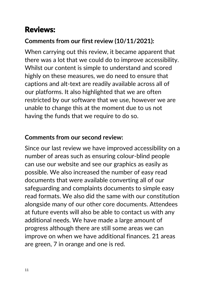# Reviews:

# **Comments from our first review (10/11/2021):**

When carrying out this review, it became apparent that there was a lot that we could do to improve accessibility. Whilst our content is simple to understand and scored highly on these measures, we do need to ensure that captions and alt-text are readily available across all of our platforms. It also highlighted that we are often restricted by our software that we use, however we are unable to change this at the moment due to us not having the funds that we require to do so.

# **Comments from our second review:**

Since our last review we have improved accessibility on a number of areas such as ensuring colour-blind people can use our website and see our graphics as easily as possible. We also increased the number of easy read documents that were available converting all of our safeguarding and complaints documents to simple easy read formats. We also did the same with our constitution alongside many of our other core documents. Attendees at future events will also be able to contact us with any additional needs. We have made a large amount of progress although there are still some areas we can improve on when we have additional finances. 21 areas are green, 7 in orange and one is red.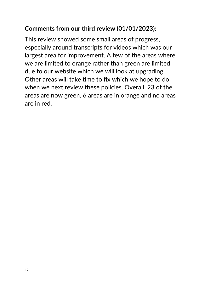## **Comments from our third review (01/01/2023):**

This review showed some small areas of progress, especially around transcripts for videos which was our largest area for improvement. A few of the areas where we are limited to orange rather than green are limited due to our website which we will look at upgrading. Other areas will take time to fix which we hope to do when we next review these policies. Overall, 23 of the areas are now green, 6 areas are in orange and no areas are in red.